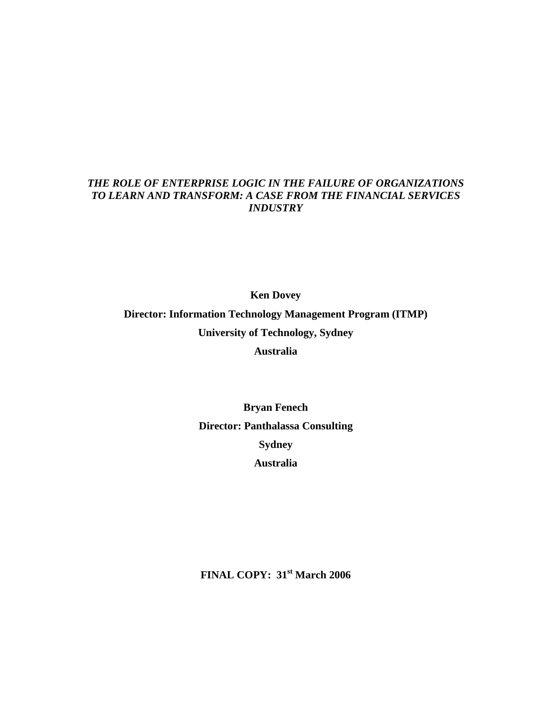# *THE ROLE OF ENTERPRISE LOGIC IN THE FAILURE OF ORGANIZATIONS TO LEARN AND TRANSFORM: A CASE FROM THE FINANCIAL SERVICES INDUSTRY*

**Ken Dovey**

**Director: Information Technology Management Program (ITMP) University of Technology, Sydney**

**Australia**

**Bryan Fenech Director: Panthalassa Consulting Sydney Australia**

**FINAL COPY: 31st March 2006**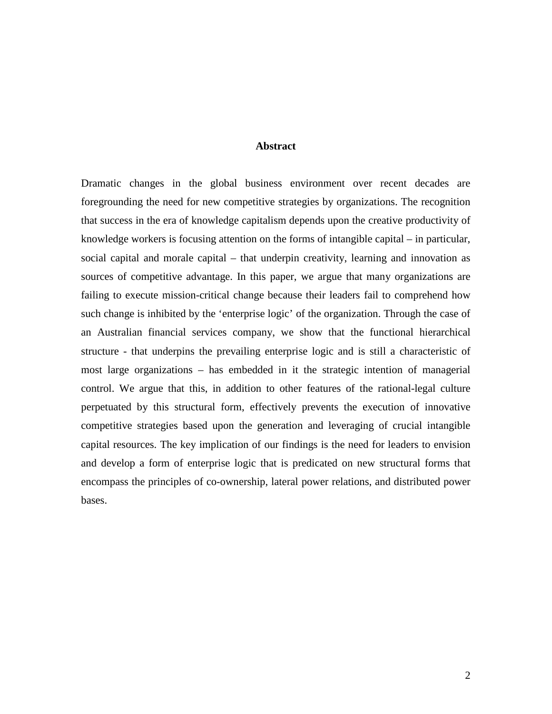### **Abstract**

Dramatic changes in the global business environment over recent decades are foregrounding the need for new competitive strategies by organizations. The recognition that success in the era of knowledge capitalism depends upon the creative productivity of knowledge workers is focusing attention on the forms of intangible capital – in particular, social capital and morale capital – that underpin creativity, learning and innovation as sources of competitive advantage. In this paper, we argue that many organizations are failing to execute mission-critical change because their leaders fail to comprehend how such change is inhibited by the 'enterprise logic' of the organization. Through the case of an Australian financial services company, we show that the functional hierarchical structure - that underpins the prevailing enterprise logic and is still a characteristic of most large organizations – has embedded in it the strategic intention of managerial control. We argue that this, in addition to other features of the rational-legal culture perpetuated by this structural form, effectively prevents the execution of innovative competitive strategies based upon the generation and leveraging of crucial intangible capital resources. The key implication of our findings is the need for leaders to envision and develop a form of enterprise logic that is predicated on new structural forms that encompass the principles of co-ownership, lateral power relations, and distributed power bases.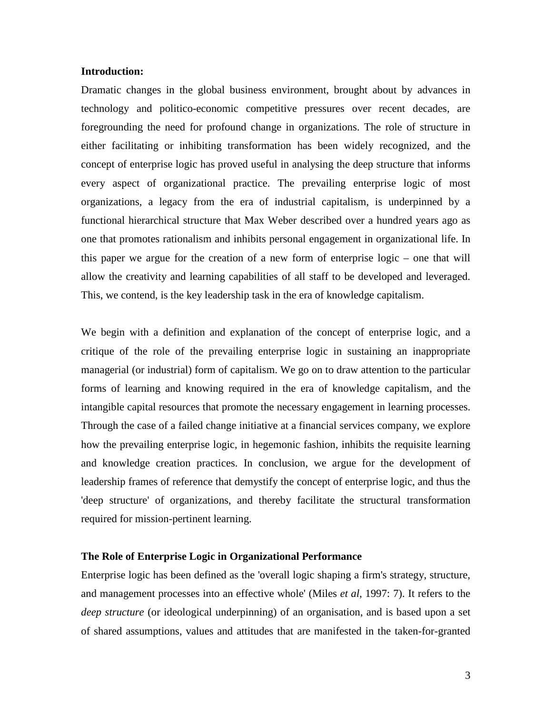### **Introduction:**

Dramatic changes in the global business environment, brought about by advances in technology and politico-economic competitive pressures over recent decades, are foregrounding the need for profound change in organizations. The role of structure in either facilitating or inhibiting transformation has been widely recognized, and the concept of enterprise logic has proved useful in analysing the deep structure that informs every aspect of organizational practice. The prevailing enterprise logic of most organizations, a legacy from the era of industrial capitalism, is underpinned by a functional hierarchical structure that Max Weber described over a hundred years ago as one that promotes rationalism and inhibits personal engagement in organizational life. In this paper we argue for the creation of a new form of enterprise logic – one that will allow the creativity and learning capabilities of all staff to be developed and leveraged. This, we contend, is the key leadership task in the era of knowledge capitalism.

We begin with a definition and explanation of the concept of enterprise logic, and a critique of the role of the prevailing enterprise logic in sustaining an inappropriate managerial (or industrial) form of capitalism. We go on to draw attention to the particular forms of learning and knowing required in the era of knowledge capitalism, and the intangible capital resources that promote the necessary engagement in learning processes. Through the case of a failed change initiative at a financial services company, we explore how the prevailing enterprise logic, in hegemonic fashion, inhibits the requisite learning and knowledge creation practices. In conclusion, we argue for the development of leadership frames of reference that demystify the concept of enterprise logic, and thus the 'deep structure' of organizations, and thereby facilitate the structural transformation required for mission-pertinent learning.

### **The Role of Enterprise Logic in Organizational Performance**

Enterprise logic has been defined as the 'overall logic shaping a firm's strategy, structure, and management processes into an effective whole' (Miles *et al*, 1997: 7). It refers to the *deep structure* (or ideological underpinning) of an organisation, and is based upon a set of shared assumptions, values and attitudes that are manifested in the taken-for-granted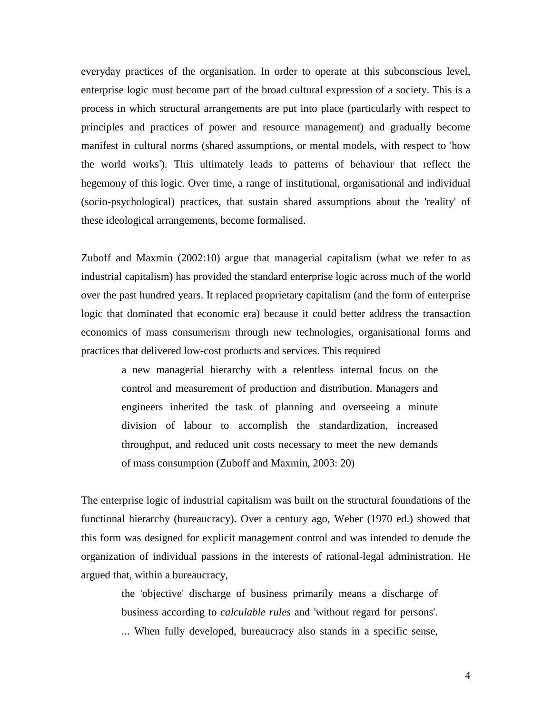everyday practices of the organisation. In order to operate at this subconscious level, enterprise logic must become part of the broad cultural expression of a society. This is a process in which structural arrangements are put into place (particularly with respect to principles and practices of power and resource management) and gradually become manifest in cultural norms (shared assumptions, or mental models, with respect to 'how the world works'). This ultimately leads to patterns of behaviour that reflect the hegemony of this logic. Over time, a range of institutional, organisational and individual (socio-psychological) practices, that sustain shared assumptions about the 'reality' of these ideological arrangements, become formalised.

Zuboff and Maxmin (2002:10) argue that managerial capitalism (what we refer to as industrial capitalism) has provided the standard enterprise logic across much of the world over the past hundred years. It replaced proprietary capitalism (and the form of enterprise logic that dominated that economic era) because it could better address the transaction economics of mass consumerism through new technologies, organisational forms and practices that delivered low-cost products and services. This required

> a new managerial hierarchy with a relentless internal focus on the control and measurement of production and distribution. Managers and engineers inherited the task of planning and overseeing a minute division of labour to accomplish the standardization, increased throughput, and reduced unit costs necessary to meet the new demands of mass consumption (Zuboff and Maxmin, 2003: 20)

The enterprise logic of industrial capitalism was built on the structural foundations of the functional hierarchy (bureaucracy). Over a century ago, Weber (1970 ed.) showed that this form was designed for explicit management control and was intended to denude the organization of individual passions in the interests of rational-legal administration. He argued that, within a bureaucracy,

the 'objective' discharge of business primarily means a discharge of business according to *calculable rules* and 'without regard for persons'. ... When fully developed, bureaucracy also stands in a specific sense,

4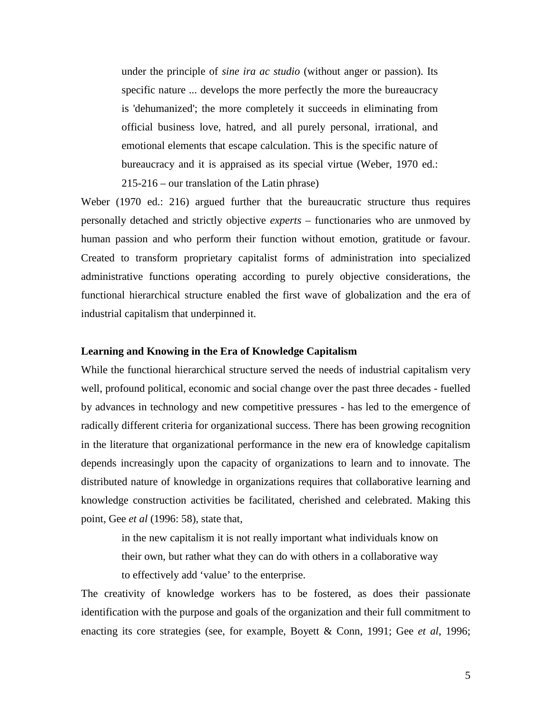under the principle of *sine ira ac studio* (without anger or passion). Its specific nature ... develops the more perfectly the more the bureaucracy is 'dehumanized'; the more completely it succeeds in eliminating from official business love, hatred, and all purely personal, irrational, and emotional elements that escape calculation. This is the specific nature of bureaucracy and it is appraised as its special virtue (Weber, 1970 ed.: 215-216 – our translation of the Latin phrase)

Weber (1970 ed.: 216) argued further that the bureaucratic structure thus requires personally detached and strictly objective *experts* – functionaries who are unmoved by human passion and who perform their function without emotion, gratitude or favour. Created to transform proprietary capitalist forms of administration into specialized administrative functions operating according to purely objective considerations, the functional hierarchical structure enabled the first wave of globalization and the era of industrial capitalism that underpinned it.

#### **Learning and Knowing in the Era of Knowledge Capitalism**

While the functional hierarchical structure served the needs of industrial capitalism very well, profound political, economic and social change over the past three decades - fuelled by advances in technology and new competitive pressures - has led to the emergence of radically different criteria for organizational success. There has been growing recognition in the literature that organizational performance in the new era of knowledge capitalism depends increasingly upon the capacity of organizations to learn and to innovate. The distributed nature of knowledge in organizations requires that collaborative learning and knowledge construction activities be facilitated, cherished and celebrated. Making this point, Gee *et al* (1996: 58), state that,

> in the new capitalism it is not really important what individuals know on their own, but rather what they can do with others in a collaborative way to effectively add 'value' to the enterprise.

The creativity of knowledge workers has to be fostered, as does their passionate identification with the purpose and goals of the organization and their full commitment to enacting its core strategies (see, for example, Boyett & Conn, 1991; Gee *et al*, 1996;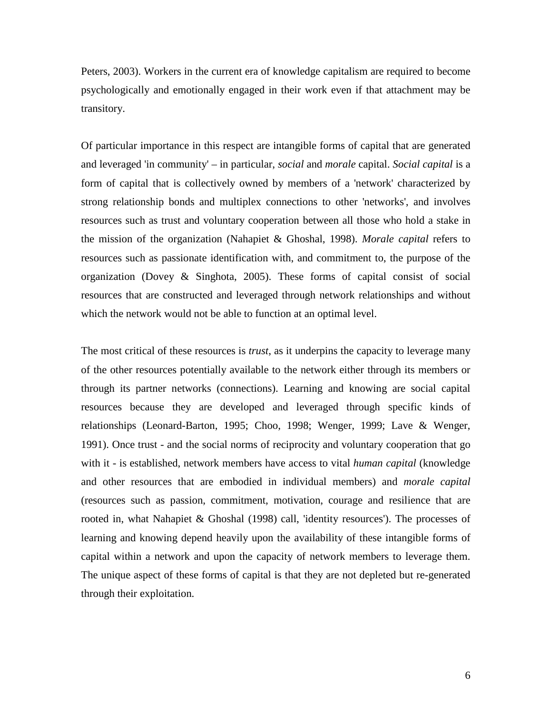Peters, 2003). Workers in the current era of knowledge capitalism are required to become psychologically and emotionally engaged in their work even if that attachment may be transitory.

Of particular importance in this respect are intangible forms of capital that are generated and leveraged 'in community' – in particular, *social* and *morale* capital. *Social capital* is a form of capital that is collectively owned by members of a 'network' characterized by strong relationship bonds and multiplex connections to other 'networks', and involves resources such as trust and voluntary cooperation between all those who hold a stake in the mission of the organization (Nahapiet & Ghoshal, 1998). *Morale capital* refers to resources such as passionate identification with, and commitment to, the purpose of the organization (Dovey & Singhota, 2005). These forms of capital consist of social resources that are constructed and leveraged through network relationships and without which the network would not be able to function at an optimal level.

The most critical of these resources is *trust*, as it underpins the capacity to leverage many of the other resources potentially available to the network either through its members or through its partner networks (connections). Learning and knowing are social capital resources because they are developed and leveraged through specific kinds of relationships (Leonard-Barton, 1995; Choo, 1998; Wenger, 1999; Lave & Wenger, 1991). Once trust - and the social norms of reciprocity and voluntary cooperation that go with it - is established, network members have access to vital *human capital* (knowledge and other resources that are embodied in individual members) and *morale capital* (resources such as passion, commitment, motivation, courage and resilience that are rooted in, what Nahapiet & Ghoshal (1998) call, 'identity resources'). The processes of learning and knowing depend heavily upon the availability of these intangible forms of capital within a network and upon the capacity of network members to leverage them. The unique aspect of these forms of capital is that they are not depleted but re-generated through their exploitation.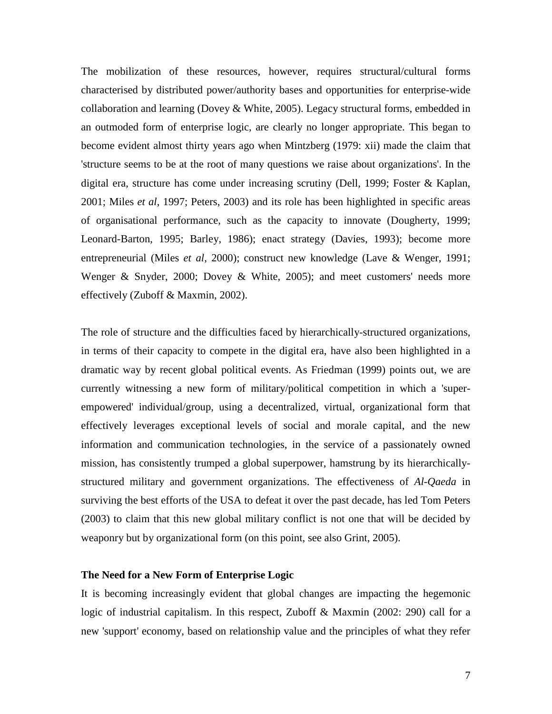The mobilization of these resources, however, requires structural/cultural forms characterised by distributed power/authority bases and opportunities for enterprise-wide collaboration and learning (Dovey & White, 2005). Legacy structural forms, embedded in an outmoded form of enterprise logic, are clearly no longer appropriate. This began to become evident almost thirty years ago when Mintzberg (1979: xii) made the claim that 'structure seems to be at the root of many questions we raise about organizations'. In the digital era, structure has come under increasing scrutiny (Dell, 1999; Foster & Kaplan, 2001; Miles *et al*, 1997; Peters, 2003) and its role has been highlighted in specific areas of organisational performance, such as the capacity to innovate (Dougherty, 1999; Leonard-Barton, 1995; Barley, 1986); enact strategy (Davies, 1993); become more entrepreneurial (Miles *et al*, 2000); construct new knowledge (Lave & Wenger, 1991; Wenger & Snyder, 2000; Dovey & White, 2005); and meet customers' needs more effectively (Zuboff & Maxmin, 2002).

The role of structure and the difficulties faced by hierarchically-structured organizations, in terms of their capacity to compete in the digital era, have also been highlighted in a dramatic way by recent global political events. As Friedman (1999) points out, we are currently witnessing a new form of military/political competition in which a 'superempowered' individual/group, using a decentralized, virtual, organizational form that effectively leverages exceptional levels of social and morale capital, and the new information and communication technologies, in the service of a passionately owned mission, has consistently trumped a global superpower, hamstrung by its hierarchicallystructured military and government organizations. The effectiveness of *Al-Qaeda* in surviving the best efforts of the USA to defeat it over the past decade, has led Tom Peters (2003) to claim that this new global military conflict is not one that will be decided by weaponry but by organizational form (on this point, see also Grint, 2005).

### **The Need for a New Form of Enterprise Logic**

It is becoming increasingly evident that global changes are impacting the hegemonic logic of industrial capitalism. In this respect, Zuboff & Maxmin (2002: 290) call for a new 'support' economy, based on relationship value and the principles of what they refer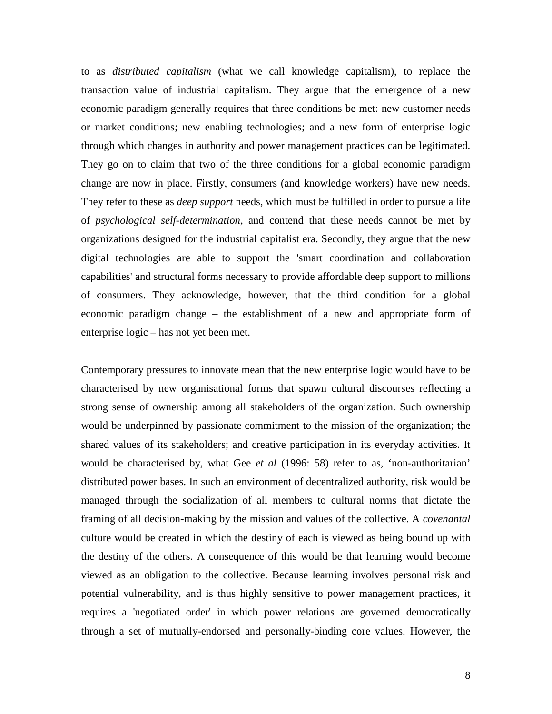to as *distributed capitalism* (what we call knowledge capitalism), to replace the transaction value of industrial capitalism. They argue that the emergence of a new economic paradigm generally requires that three conditions be met: new customer needs or market conditions; new enabling technologies; and a new form of enterprise logic through which changes in authority and power management practices can be legitimated. They go on to claim that two of the three conditions for a global economic paradigm change are now in place. Firstly, consumers (and knowledge workers) have new needs. They refer to these as *deep support* needs, which must be fulfilled in order to pursue a life of *psychological self-determination*, and contend that these needs cannot be met by organizations designed for the industrial capitalist era. Secondly, they argue that the new digital technologies are able to support the 'smart coordination and collaboration capabilities' and structural forms necessary to provide affordable deep support to millions of consumers. They acknowledge, however, that the third condition for a global economic paradigm change – the establishment of a new and appropriate form of enterprise logic – has not yet been met.

Contemporary pressures to innovate mean that the new enterprise logic would have to be characterised by new organisational forms that spawn cultural discourses reflecting a strong sense of ownership among all stakeholders of the organization. Such ownership would be underpinned by passionate commitment to the mission of the organization; the shared values of its stakeholders; and creative participation in its everyday activities. It would be characterised by, what Gee *et al* (1996: 58) refer to as, 'non-authoritarian' distributed power bases. In such an environment of decentralized authority, risk would be managed through the socialization of all members to cultural norms that dictate the framing of all decision-making by the mission and values of the collective. A *covenantal* culture would be created in which the destiny of each is viewed as being bound up with the destiny of the others. A consequence of this would be that learning would become viewed as an obligation to the collective. Because learning involves personal risk and potential vulnerability, and is thus highly sensitive to power management practices, it requires a 'negotiated order' in which power relations are governed democratically through a set of mutually-endorsed and personally-binding core values. However, the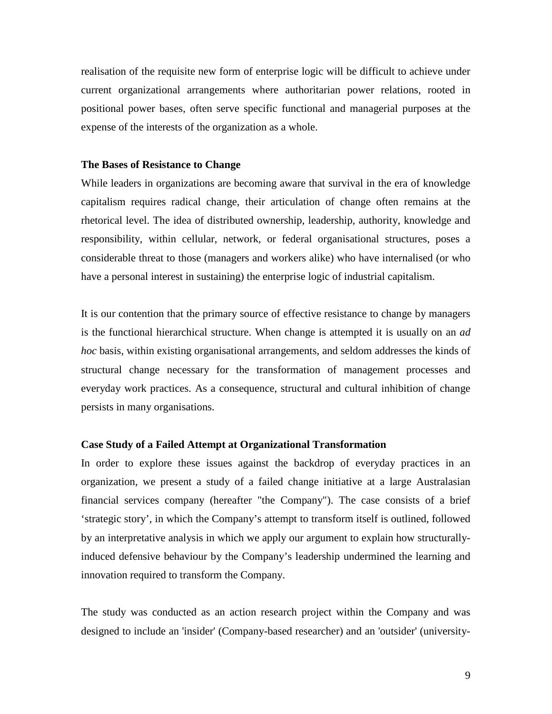realisation of the requisite new form of enterprise logic will be difficult to achieve under current organizational arrangements where authoritarian power relations, rooted in positional power bases, often serve specific functional and managerial purposes at the expense of the interests of the organization as a whole.

#### **The Bases of Resistance to Change**

While leaders in organizations are becoming aware that survival in the era of knowledge capitalism requires radical change, their articulation of change often remains at the rhetorical level. The idea of distributed ownership, leadership, authority, knowledge and responsibility, within cellular, network, or federal organisational structures, poses a considerable threat to those (managers and workers alike) who have internalised (or who have a personal interest in sustaining) the enterprise logic of industrial capitalism.

It is our contention that the primary source of effective resistance to change by managers is the functional hierarchical structure. When change is attempted it is usually on an *ad hoc* basis, within existing organisational arrangements, and seldom addresses the kinds of structural change necessary for the transformation of management processes and everyday work practices. As a consequence, structural and cultural inhibition of change persists in many organisations.

#### **Case Study of a Failed Attempt at Organizational Transformation**

In order to explore these issues against the backdrop of everyday practices in an organization, we present a study of a failed change initiative at a large Australasian financial services company (hereafter "the Company"). The case consists of a brief 'strategic story', in which the Company's attempt to transform itself is outlined, followed by an interpretative analysis in which we apply our argument to explain how structurallyinduced defensive behaviour by the Company's leadership undermined the learning and innovation required to transform the Company.

The study was conducted as an action research project within the Company and was designed to include an 'insider' (Company-based researcher) and an 'outsider' (university-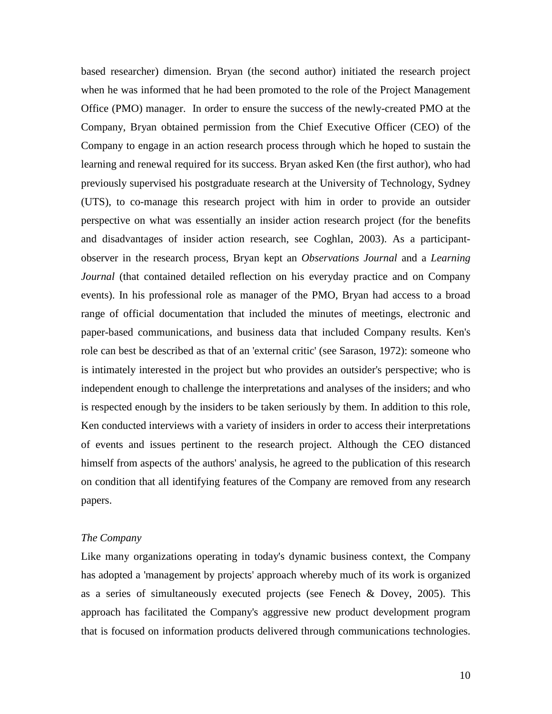based researcher) dimension. Bryan (the second author) initiated the research project when he was informed that he had been promoted to the role of the Project Management Office (PMO) manager. In order to ensure the success of the newly-created PMO at the Company, Bryan obtained permission from the Chief Executive Officer (CEO) of the Company to engage in an action research process through which he hoped to sustain the learning and renewal required for its success. Bryan asked Ken (the first author), who had previously supervised his postgraduate research at the University of Technology, Sydney (UTS), to co-manage this research project with him in order to provide an outsider perspective on what was essentially an insider action research project (for the benefits and disadvantages of insider action research, see Coghlan, 2003). As a participantobserver in the research process, Bryan kept an *Observations Journal* and a *Learning Journal* (that contained detailed reflection on his everyday practice and on Company events). In his professional role as manager of the PMO, Bryan had access to a broad range of official documentation that included the minutes of meetings, electronic and paper-based communications, and business data that included Company results. Ken's role can best be described as that of an 'external critic' (see Sarason, 1972): someone who is intimately interested in the project but who provides an outsider's perspective; who is independent enough to challenge the interpretations and analyses of the insiders; and who is respected enough by the insiders to be taken seriously by them. In addition to this role, Ken conducted interviews with a variety of insiders in order to access their interpretations of events and issues pertinent to the research project. Although the CEO distanced himself from aspects of the authors' analysis, he agreed to the publication of this research on condition that all identifying features of the Company are removed from any research papers.

### *The Company*

Like many organizations operating in today's dynamic business context, the Company has adopted a 'management by projects' approach whereby much of its work is organized as a series of simultaneously executed projects (see Fenech & Dovey, 2005). This approach has facilitated the Company's aggressive new product development program that is focused on information products delivered through communications technologies.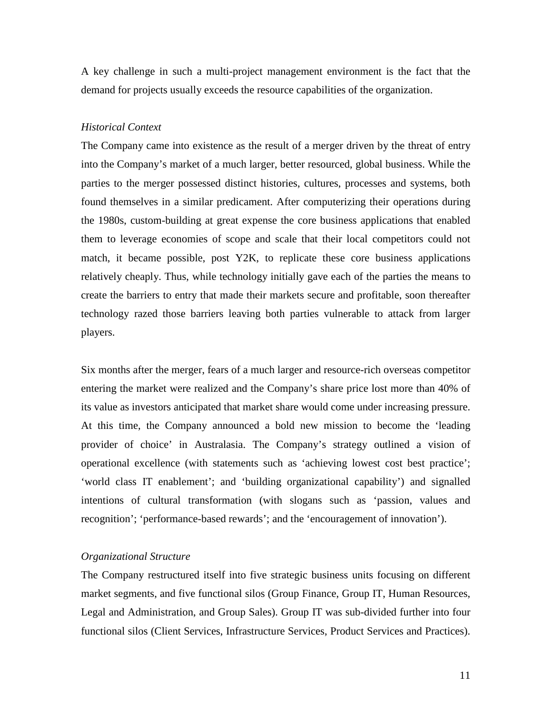A key challenge in such a multi-project management environment is the fact that the demand for projects usually exceeds the resource capabilities of the organization.

#### *Historical Context*

The Company came into existence as the result of a merger driven by the threat of entry into the Company's market of a much larger, better resourced, global business. While the parties to the merger possessed distinct histories, cultures, processes and systems, both found themselves in a similar predicament. After computerizing their operations during the 1980s, custom-building at great expense the core business applications that enabled them to leverage economies of scope and scale that their local competitors could not match, it became possible, post Y2K, to replicate these core business applications relatively cheaply. Thus, while technology initially gave each of the parties the means to create the barriers to entry that made their markets secure and profitable, soon thereafter technology razed those barriers leaving both parties vulnerable to attack from larger players.

Six months after the merger, fears of a much larger and resource-rich overseas competitor entering the market were realized and the Company's share price lost more than 40% of its value as investors anticipated that market share would come under increasing pressure. At this time, the Company announced a bold new mission to become the 'leading provider of choice' in Australasia. The Company's strategy outlined a vision of operational excellence (with statements such as 'achieving lowest cost best practice'; 'world class IT enablement'; and 'building organizational capability') and signalled intentions of cultural transformation (with slogans such as 'passion, values and recognition'; 'performance-based rewards'; and the 'encouragement of innovation').

### *Organizational Structure*

The Company restructured itself into five strategic business units focusing on different market segments, and five functional silos (Group Finance, Group IT, Human Resources, Legal and Administration, and Group Sales). Group IT was sub-divided further into four functional silos (Client Services, Infrastructure Services, Product Services and Practices).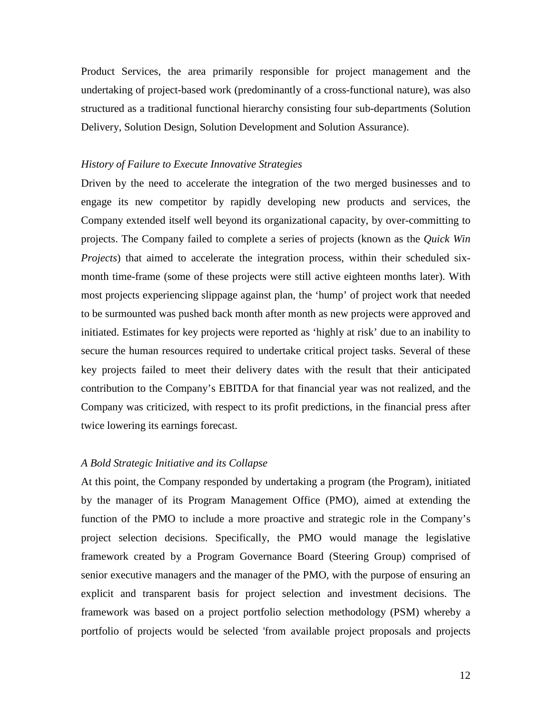Product Services, the area primarily responsible for project management and the undertaking of project-based work (predominantly of a cross-functional nature), was also structured as a traditional functional hierarchy consisting four sub-departments (Solution Delivery, Solution Design, Solution Development and Solution Assurance).

#### *History of Failure to Execute Innovative Strategies*

Driven by the need to accelerate the integration of the two merged businesses and to engage its new competitor by rapidly developing new products and services, the Company extended itself well beyond its organizational capacity, by over-committing to projects. The Company failed to complete a series of projects (known as the *Quick Win Projects*) that aimed to accelerate the integration process, within their scheduled sixmonth time-frame (some of these projects were still active eighteen months later). With most projects experiencing slippage against plan, the 'hump' of project work that needed to be surmounted was pushed back month after month as new projects were approved and initiated. Estimates for key projects were reported as 'highly at risk' due to an inability to secure the human resources required to undertake critical project tasks. Several of these key projects failed to meet their delivery dates with the result that their anticipated contribution to the Company's EBITDA for that financial year was not realized, and the Company was criticized, with respect to its profit predictions, in the financial press after twice lowering its earnings forecast.

### *A Bold Strategic Initiative and its Collapse*

At this point, the Company responded by undertaking a program (the Program), initiated by the manager of its Program Management Office (PMO), aimed at extending the function of the PMO to include a more proactive and strategic role in the Company's project selection decisions. Specifically, the PMO would manage the legislative framework created by a Program Governance Board (Steering Group) comprised of senior executive managers and the manager of the PMO, with the purpose of ensuring an explicit and transparent basis for project selection and investment decisions. The framework was based on a project portfolio selection methodology (PSM) whereby a portfolio of projects would be selected 'from available project proposals and projects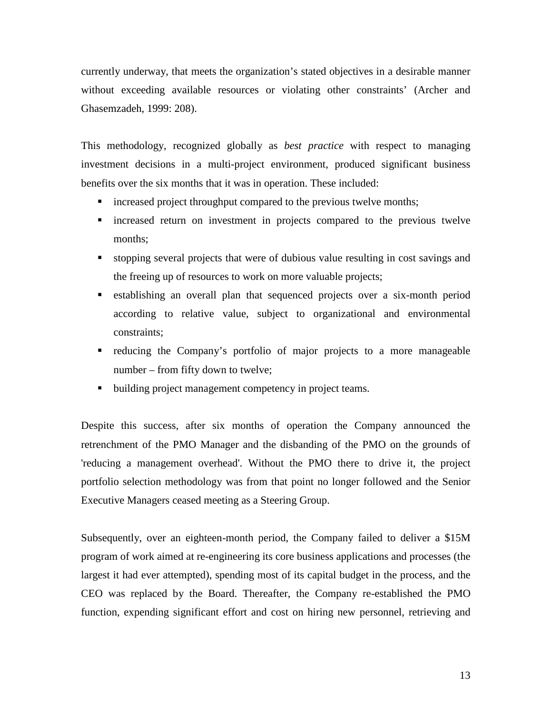currently underway, that meets the organization's stated objectives in a desirable manner without exceeding available resources or violating other constraints' (Archer and Ghasemzadeh, 1999: 208).

This methodology, recognized globally as *best practice* with respect to managing investment decisions in a multi-project environment, produced significant business benefits over the six months that it was in operation. These included:

- increased project throughput compared to the previous twelve months;
- increased return on investment in projects compared to the previous twelve months;
- stopping several projects that were of dubious value resulting in cost savings and the freeing up of resources to work on more valuable projects;
- establishing an overall plan that sequenced projects over a six-month period according to relative value, subject to organizational and environmental constraints;
- reducing the Company's portfolio of major projects to a more manageable number – from fifty down to twelve;
- ullet building project management competency in project teams.

Despite this success, after six months of operation the Company announced the retrenchment of the PMO Manager and the disbanding of the PMO on the grounds of 'reducing a management overhead'. Without the PMO there to drive it, the project portfolio selection methodology was from that point no longer followed and the Senior Executive Managers ceased meeting as a Steering Group.

Subsequently, over an eighteen-month period, the Company failed to deliver a \$15M program of work aimed at re-engineering its core business applications and processes (the largest it had ever attempted), spending most of its capital budget in the process, and the CEO was replaced by the Board. Thereafter, the Company re-established the PMO function, expending significant effort and cost on hiring new personnel, retrieving and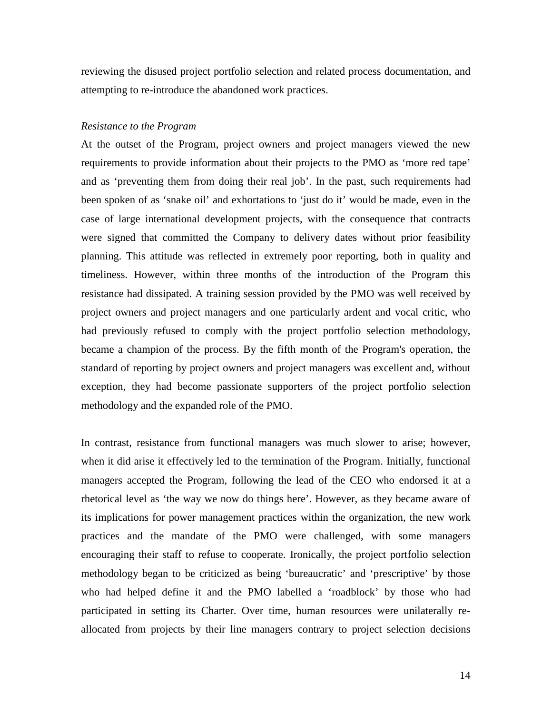reviewing the disused project portfolio selection and related process documentation, and attempting to re-introduce the abandoned work practices.

#### *Resistance to the Program*

At the outset of the Program, project owners and project managers viewed the new requirements to provide information about their projects to the PMO as 'more red tape' and as 'preventing them from doing their real job'. In the past, such requirements had been spoken of as 'snake oil' and exhortations to 'just do it' would be made, even in the case of large international development projects, with the consequence that contracts were signed that committed the Company to delivery dates without prior feasibility planning. This attitude was reflected in extremely poor reporting, both in quality and timeliness. However, within three months of the introduction of the Program this resistance had dissipated. A training session provided by the PMO was well received by project owners and project managers and one particularly ardent and vocal critic, who had previously refused to comply with the project portfolio selection methodology, became a champion of the process. By the fifth month of the Program's operation, the standard of reporting by project owners and project managers was excellent and, without exception, they had become passionate supporters of the project portfolio selection methodology and the expanded role of the PMO.

In contrast, resistance from functional managers was much slower to arise; however, when it did arise it effectively led to the termination of the Program. Initially, functional managers accepted the Program, following the lead of the CEO who endorsed it at a rhetorical level as 'the way we now do things here'. However, as they became aware of its implications for power management practices within the organization, the new work practices and the mandate of the PMO were challenged, with some managers encouraging their staff to refuse to cooperate. Ironically, the project portfolio selection methodology began to be criticized as being 'bureaucratic' and 'prescriptive' by those who had helped define it and the PMO labelled a 'roadblock' by those who had participated in setting its Charter. Over time, human resources were unilaterally reallocated from projects by their line managers contrary to project selection decisions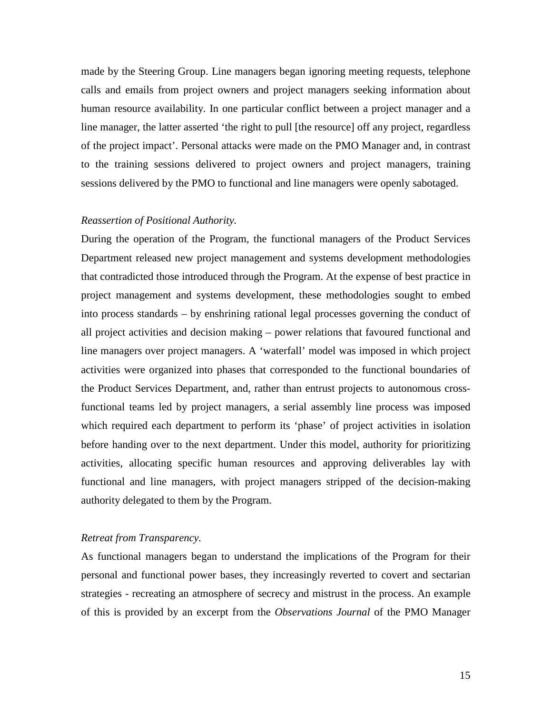made by the Steering Group. Line managers began ignoring meeting requests, telephone calls and emails from project owners and project managers seeking information about human resource availability. In one particular conflict between a project manager and a line manager, the latter asserted 'the right to pull [the resource] off any project, regardless of the project impact'. Personal attacks were made on the PMO Manager and, in contrast to the training sessions delivered to project owners and project managers, training sessions delivered by the PMO to functional and line managers were openly sabotaged.

### *Reassertion of Positional Authority.*

During the operation of the Program, the functional managers of the Product Services Department released new project management and systems development methodologies that contradicted those introduced through the Program. At the expense of best practice in project management and systems development, these methodologies sought to embed into process standards – by enshrining rational legal processes governing the conduct of all project activities and decision making – power relations that favoured functional and line managers over project managers. A 'waterfall' model was imposed in which project activities were organized into phases that corresponded to the functional boundaries of the Product Services Department, and, rather than entrust projects to autonomous crossfunctional teams led by project managers, a serial assembly line process was imposed which required each department to perform its 'phase' of project activities in isolation before handing over to the next department. Under this model, authority for prioritizing activities, allocating specific human resources and approving deliverables lay with functional and line managers, with project managers stripped of the decision-making authority delegated to them by the Program.

#### *Retreat from Transparency.*

As functional managers began to understand the implications of the Program for their personal and functional power bases, they increasingly reverted to covert and sectarian strategies - recreating an atmosphere of secrecy and mistrust in the process. An example of this is provided by an excerpt from the *Observations Journal* of the PMO Manager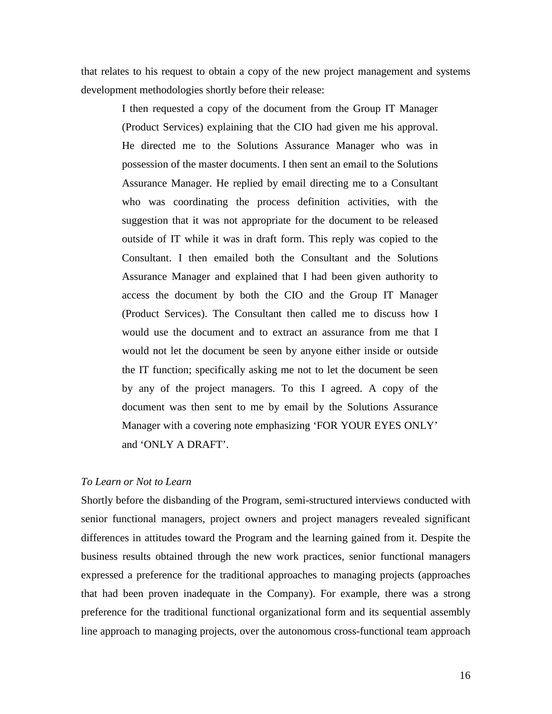that relates to his request to obtain a copy of the new project management and systems development methodologies shortly before their release:

> I then requested a copy of the document from the Group IT Manager (Product Services) explaining that the CIO had given me his approval. He directed me to the Solutions Assurance Manager who was in possession of the master documents. I then sent an email to the Solutions Assurance Manager. He replied by email directing me to a Consultant who was coordinating the process definition activities, with the suggestion that it was not appropriate for the document to be released outside of IT while it was in draft form. This reply was copied to the Consultant. I then emailed both the Consultant and the Solutions Assurance Manager and explained that I had been given authority to access the document by both the CIO and the Group IT Manager (Product Services). The Consultant then called me to discuss how I would use the document and to extract an assurance from me that I would not let the document be seen by anyone either inside or outside the IT function; specifically asking me not to let the document be seen by any of the project managers. To this I agreed. A copy of the document was then sent to me by email by the Solutions Assurance Manager with a covering note emphasizing 'FOR YOUR EYES ONLY' and 'ONLY A DRAFT'.

### *To Learn or Not to Learn*

Shortly before the disbanding of the Program, semi-structured interviews conducted with senior functional managers, project owners and project managers revealed significant differences in attitudes toward the Program and the learning gained from it. Despite the business results obtained through the new work practices, senior functional managers expressed a preference for the traditional approaches to managing projects (approaches that had been proven inadequate in the Company). For example, there was a strong preference for the traditional functional organizational form and its sequential assembly line approach to managing projects, over the autonomous cross-functional team approach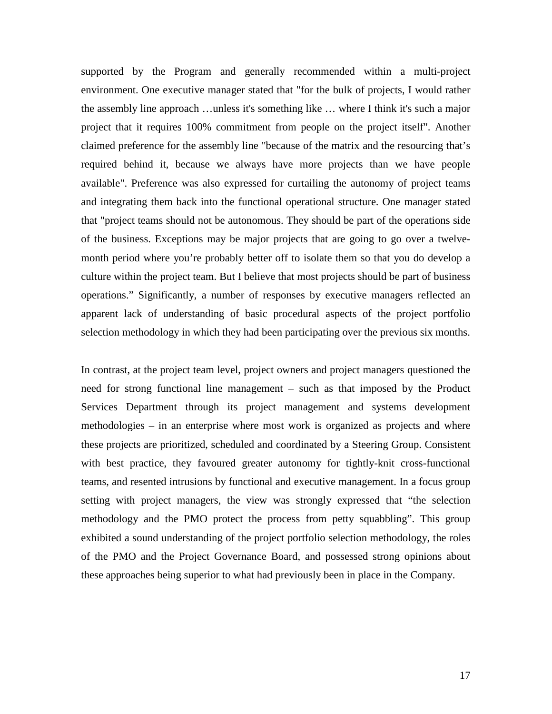supported by the Program and generally recommended within a multi-project environment. One executive manager stated that "for the bulk of projects, I would rather the assembly line approach …unless it's something like … where I think it's such a major project that it requires 100% commitment from people on the project itself". Another claimed preference for the assembly line "because of the matrix and the resourcing that's required behind it, because we always have more projects than we have people available". Preference was also expressed for curtailing the autonomy of project teams and integrating them back into the functional operational structure. One manager stated that "project teams should not be autonomous. They should be part of the operations side of the business. Exceptions may be major projects that are going to go over a twelvemonth period where you're probably better off to isolate them so that you do develop a culture within the project team. But I believe that most projects should be part of business operations." Significantly, a number of responses by executive managers reflected an apparent lack of understanding of basic procedural aspects of the project portfolio selection methodology in which they had been participating over the previous six months.

In contrast, at the project team level, project owners and project managers questioned the need for strong functional line management – such as that imposed by the Product Services Department through its project management and systems development methodologies – in an enterprise where most work is organized as projects and where these projects are prioritized, scheduled and coordinated by a Steering Group. Consistent with best practice, they favoured greater autonomy for tightly-knit cross-functional teams, and resented intrusions by functional and executive management. In a focus group setting with project managers, the view was strongly expressed that "the selection methodology and the PMO protect the process from petty squabbling". This group exhibited a sound understanding of the project portfolio selection methodology, the roles of the PMO and the Project Governance Board, and possessed strong opinions about these approaches being superior to what had previously been in place in the Company.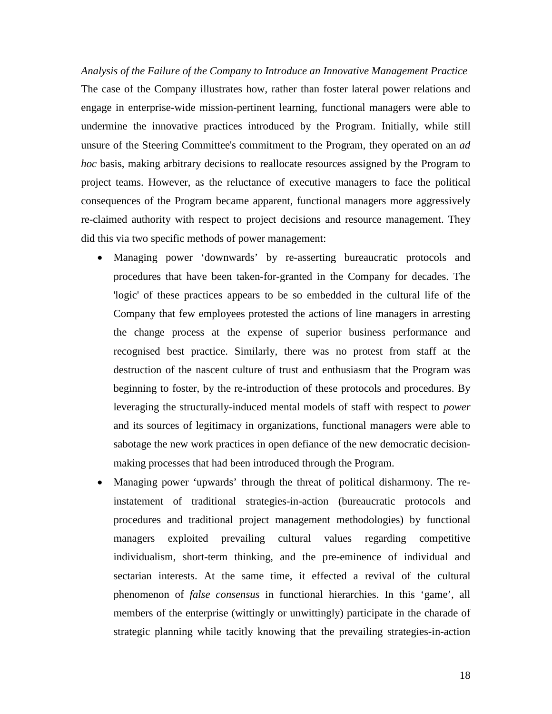*Analysis of the Failure of the Company to Introduce an Innovative Management Practice* The case of the Company illustrates how, rather than foster lateral power relations and engage in enterprise-wide mission-pertinent learning, functional managers were able to undermine the innovative practices introduced by the Program. Initially, while still unsure of the Steering Committee's commitment to the Program, they operated on an *ad hoc* basis, making arbitrary decisions to reallocate resources assigned by the Program to project teams. However, as the reluctance of executive managers to face the political consequences of the Program became apparent, functional managers more aggressively re-claimed authority with respect to project decisions and resource management. They did this via two specific methods of power management:

- Managing power 'downwards' by re-asserting bureaucratic protocols and procedures that have been taken-for-granted in the Company for decades. The 'logic' of these practices appears to be so embedded in the cultural life of the Company that few employees protested the actions of line managers in arresting the change process at the expense of superior business performance and recognised best practice. Similarly, there was no protest from staff at the destruction of the nascent culture of trust and enthusiasm that the Program was beginning to foster, by the re-introduction of these protocols and procedures. By leveraging the structurally-induced mental models of staff with respect to *power* and its sources of legitimacy in organizations, functional managers were able to sabotage the new work practices in open defiance of the new democratic decisionmaking processes that had been introduced through the Program.
- Managing power 'upwards' through the threat of political disharmony. The reinstatement of traditional strategies-in-action (bureaucratic protocols and procedures and traditional project management methodologies) by functional managers exploited prevailing cultural values regarding competitive individualism, short-term thinking, and the pre-eminence of individual and sectarian interests. At the same time, it effected a revival of the cultural phenomenon of *false consensus* in functional hierarchies. In this 'game', all members of the enterprise (wittingly or unwittingly) participate in the charade of strategic planning while tacitly knowing that the prevailing strategies-in-action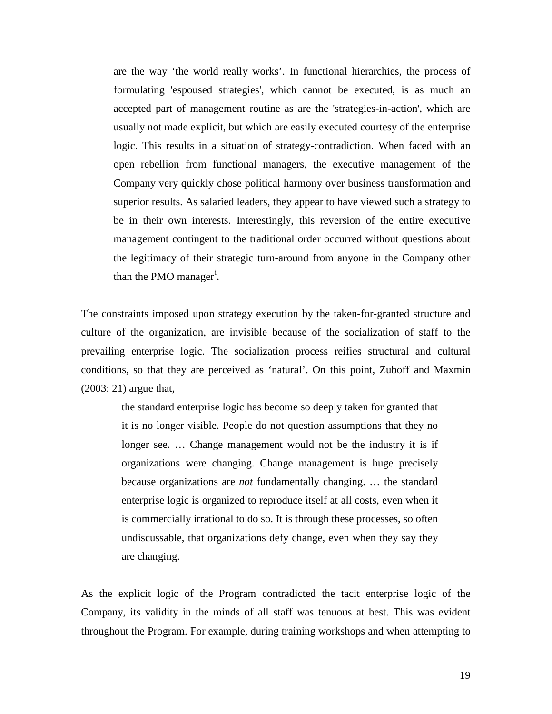are the way 'the world really works'. In functional hierarchies, the process of formulating 'espoused strategies', which cannot be executed, is as much an accepted part of management routine as are the 'strategies-in-action', which are usually not made explicit, but which are easily executed courtesy of the enterprise logic. This results in a situation of strategy-contradiction. When faced with an open rebellion from functional managers, the executive management of the Company very quickly chose political harmony over business transformation and superior results. As salaried leaders, they appear to have viewed such a strategy to be in their own interests. Interestingly, this reversion of the entire executive management contingent to the traditional order occurred without questions about the legitimacy of their strategic turn-around from anyone in the Company other than the PMO manager<sup>[i](#page-24-0)</sup>.

The constraints imposed upon strategy execution by the taken-for-granted structure and culture of the organization, are invisible because of the socialization of staff to the prevailing enterprise logic. The socialization process reifies structural and cultural conditions, so that they are perceived as 'natural'. On this point, Zuboff and Maxmin (2003: 21) argue that,

> the standard enterprise logic has become so deeply taken for granted that it is no longer visible. People do not question assumptions that they no longer see. … Change management would not be the industry it is if organizations were changing. Change management is huge precisely because organizations are *not* fundamentally changing. … the standard enterprise logic is organized to reproduce itself at all costs, even when it is commercially irrational to do so. It is through these processes, so often undiscussable, that organizations defy change, even when they say they are changing.

As the explicit logic of the Program contradicted the tacit enterprise logic of the Company, its validity in the minds of all staff was tenuous at best. This was evident throughout the Program. For example, during training workshops and when attempting to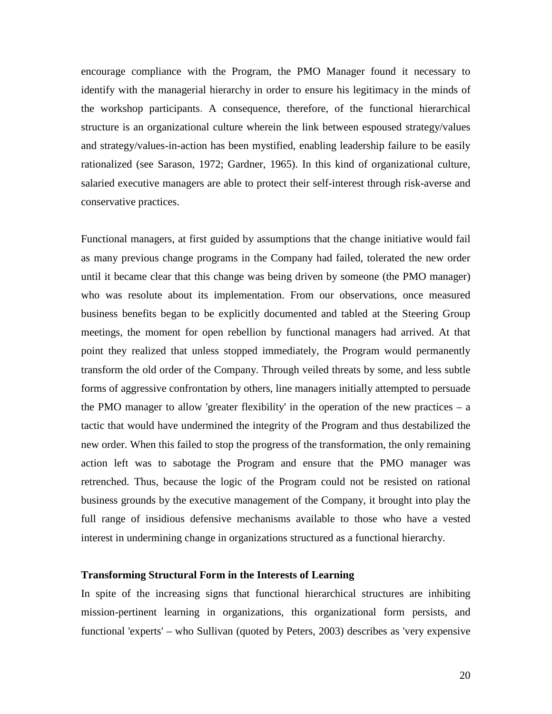encourage compliance with the Program, the PMO Manager found it necessary to identify with the managerial hierarchy in order to ensure his legitimacy in the minds of the workshop participants. A consequence, therefore, of the functional hierarchical structure is an organizational culture wherein the link between espoused strategy/values and strategy/values-in-action has been mystified, enabling leadership failure to be easily rationalized (see Sarason, 1972; Gardner, 1965). In this kind of organizational culture, salaried executive managers are able to protect their self-interest through risk-averse and conservative practices.

Functional managers, at first guided by assumptions that the change initiative would fail as many previous change programs in the Company had failed, tolerated the new order until it became clear that this change was being driven by someone (the PMO manager) who was resolute about its implementation. From our observations, once measured business benefits began to be explicitly documented and tabled at the Steering Group meetings, the moment for open rebellion by functional managers had arrived. At that point they realized that unless stopped immediately, the Program would permanently transform the old order of the Company. Through veiled threats by some, and less subtle forms of aggressive confrontation by others, line managers initially attempted to persuade the PMO manager to allow 'greater flexibility' in the operation of the new practices  $- a$ tactic that would have undermined the integrity of the Program and thus destabilized the new order. When this failed to stop the progress of the transformation, the only remaining action left was to sabotage the Program and ensure that the PMO manager was retrenched. Thus, because the logic of the Program could not be resisted on rational business grounds by the executive management of the Company, it brought into play the full range of insidious defensive mechanisms available to those who have a vested interest in undermining change in organizations structured as a functional hierarchy.

## **Transforming Structural Form in the Interests of Learning**

In spite of the increasing signs that functional hierarchical structures are inhibiting mission-pertinent learning in organizations, this organizational form persists, and functional 'experts' – who Sullivan (quoted by Peters, 2003) describes as 'very expensive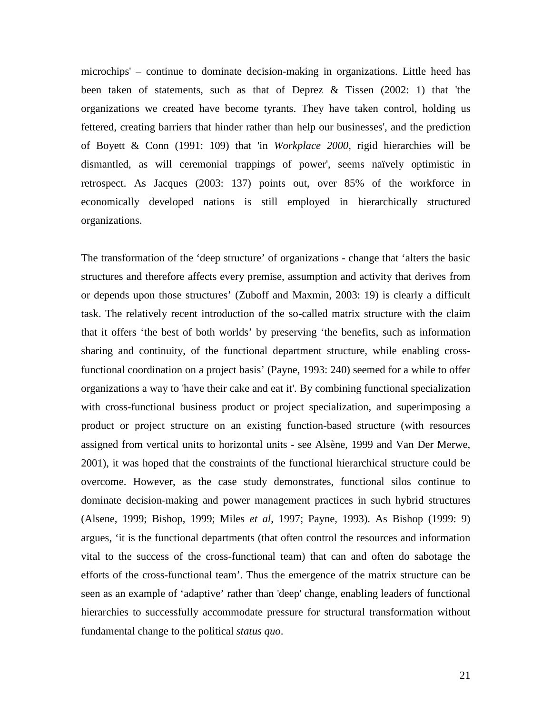microchips' – continue to dominate decision-making in organizations. Little heed has been taken of statements, such as that of Deprez & Tissen (2002: 1) that 'the organizations we created have become tyrants. They have taken control, holding us fettered, creating barriers that hinder rather than help our businesses', and the prediction of Boyett & Conn (1991: 109) that 'in *Workplace 2000*, rigid hierarchies will be dismantled, as will ceremonial trappings of power', seems naïvely optimistic in retrospect. As Jacques (2003: 137) points out, over 85% of the workforce in economically developed nations is still employed in hierarchically structured organizations.

The transformation of the 'deep structure' of organizations - change that 'alters the basic structures and therefore affects every premise, assumption and activity that derives from or depends upon those structures' (Zuboff and Maxmin, 2003: 19) is clearly a difficult task. The relatively recent introduction of the so-called matrix structure with the claim that it offers 'the best of both worlds' by preserving 'the benefits, such as information sharing and continuity, of the functional department structure, while enabling crossfunctional coordination on a project basis' (Payne, 1993: 240) seemed for a while to offer organizations a way to 'have their cake and eat it'. By combining functional specialization with cross-functional business product or project specialization, and superimposing a product or project structure on an existing function-based structure (with resources assigned from vertical units to horizontal units - see Alsène, 1999 and Van Der Merwe, 2001), it was hoped that the constraints of the functional hierarchical structure could be overcome. However, as the case study demonstrates, functional silos continue to dominate decision-making and power management practices in such hybrid structures (Alsene, 1999; Bishop, 1999; Miles *et al*, 1997; Payne, 1993). As Bishop (1999: 9) argues, 'it is the functional departments (that often control the resources and information vital to the success of the cross-functional team) that can and often do sabotage the efforts of the cross-functional team'. Thus the emergence of the matrix structure can be seen as an example of 'adaptive' rather than 'deep' change, enabling leaders of functional hierarchies to successfully accommodate pressure for structural transformation without fundamental change to the political *status quo*.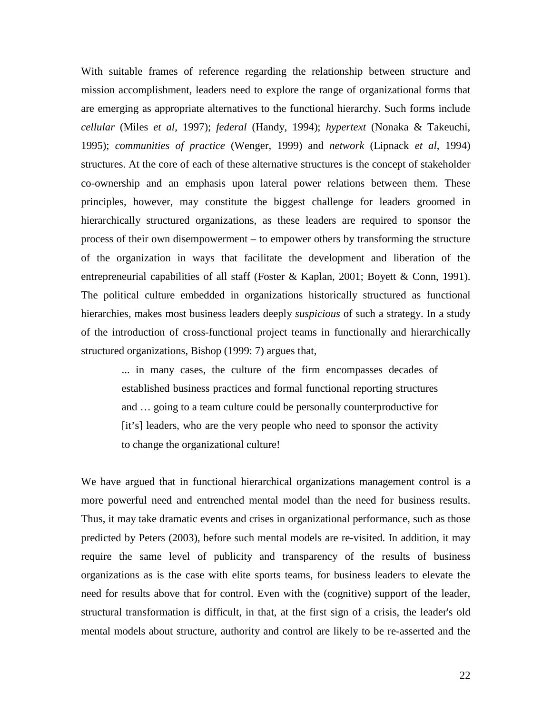With suitable frames of reference regarding the relationship between structure and mission accomplishment, leaders need to explore the range of organizational forms that are emerging as appropriate alternatives to the functional hierarchy. Such forms include *cellular* (Miles *et al*, 1997); *federal* (Handy, 1994); *hypertext* (Nonaka & Takeuchi, 1995); *communities of practice* (Wenger, 1999) and *network* (Lipnack *et al*, 1994) structures. At the core of each of these alternative structures is the concept of stakeholder co-ownership and an emphasis upon lateral power relations between them. These principles, however, may constitute the biggest challenge for leaders groomed in hierarchically structured organizations, as these leaders are required to sponsor the process of their own disempowerment – to empower others by transforming the structure of the organization in ways that facilitate the development and liberation of the entrepreneurial capabilities of all staff (Foster & Kaplan, 2001; Boyett & Conn, 1991). The political culture embedded in organizations historically structured as functional hierarchies, makes most business leaders deeply *suspicious* of such a strategy. In a study of the introduction of cross-functional project teams in functionally and hierarchically structured organizations, Bishop (1999: 7) argues that,

> ... in many cases, the culture of the firm encompasses decades of established business practices and formal functional reporting structures and … going to a team culture could be personally counterproductive for [it's] leaders, who are the very people who need to sponsor the activity to change the organizational culture!

We have argued that in functional hierarchical organizations management control is a more powerful need and entrenched mental model than the need for business results. Thus, it may take dramatic events and crises in organizational performance, such as those predicted by Peters (2003), before such mental models are re-visited. In addition, it may require the same level of publicity and transparency of the results of business organizations as is the case with elite sports teams, for business leaders to elevate the need for results above that for control. Even with the (cognitive) support of the leader, structural transformation is difficult, in that, at the first sign of a crisis, the leader's old mental models about structure, authority and control are likely to be re-asserted and the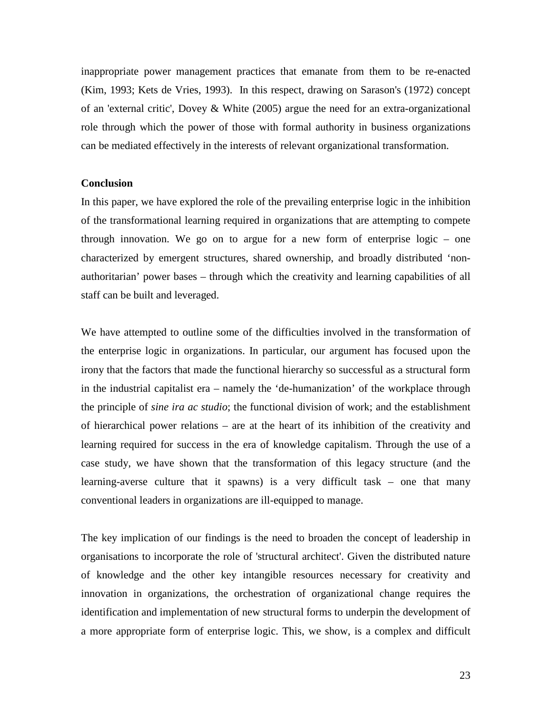inappropriate power management practices that emanate from them to be re-enacted (Kim, 1993; Kets de Vries, 1993). In this respect, drawing on Sarason's (1972) concept of an 'external critic', Dovey & White (2005) argue the need for an extra-organizational role through which the power of those with formal authority in business organizations can be mediated effectively in the interests of relevant organizational transformation.

#### **Conclusion**

In this paper, we have explored the role of the prevailing enterprise logic in the inhibition of the transformational learning required in organizations that are attempting to compete through innovation. We go on to argue for a new form of enterprise logic – one characterized by emergent structures, shared ownership, and broadly distributed 'nonauthoritarian' power bases – through which the creativity and learning capabilities of all staff can be built and leveraged.

We have attempted to outline some of the difficulties involved in the transformation of the enterprise logic in organizations. In particular, our argument has focused upon the irony that the factors that made the functional hierarchy so successful as a structural form in the industrial capitalist era – namely the 'de-humanization' of the workplace through the principle of *sine ira ac studio*; the functional division of work; and the establishment of hierarchical power relations – are at the heart of its inhibition of the creativity and learning required for success in the era of knowledge capitalism. Through the use of a case study, we have shown that the transformation of this legacy structure (and the learning-averse culture that it spawns) is a very difficult task – one that many conventional leaders in organizations are ill-equipped to manage.

The key implication of our findings is the need to broaden the concept of leadership in organisations to incorporate the role of 'structural architect'. Given the distributed nature of knowledge and the other key intangible resources necessary for creativity and innovation in organizations, the orchestration of organizational change requires the identification and implementation of new structural forms to underpin the development of a more appropriate form of enterprise logic. This, we show, is a complex and difficult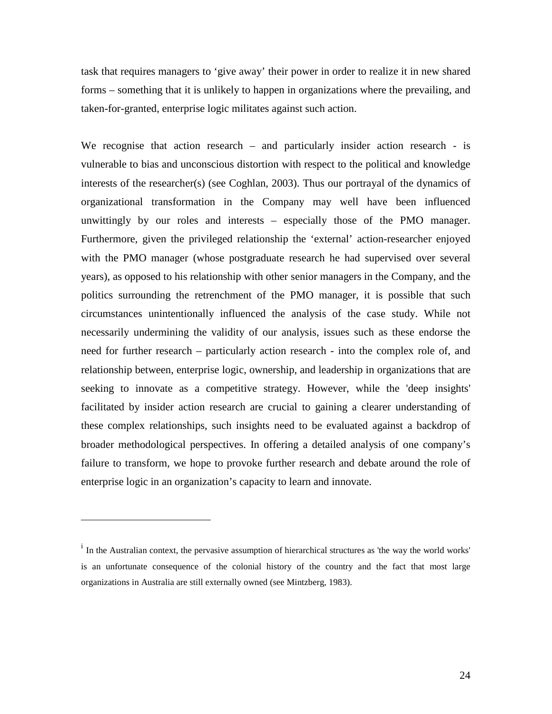task that requires managers to 'give away' their power in order to realize it in new shared forms – something that it is unlikely to happen in organizations where the prevailing, and taken-for-granted, enterprise logic militates against such action.

We recognise that action research – and particularly insider action research - is vulnerable to bias and unconscious distortion with respect to the political and knowledge interests of the researcher(s) (see Coghlan, 2003). Thus our portrayal of the dynamics of organizational transformation in the Company may well have been influenced unwittingly by our roles and interests – especially those of the PMO manager. Furthermore, given the privileged relationship the 'external' action-researcher enjoyed with the PMO manager (whose postgraduate research he had supervised over several years), as opposed to his relationship with other senior managers in the Company, and the politics surrounding the retrenchment of the PMO manager, it is possible that such circumstances unintentionally influenced the analysis of the case study. While not necessarily undermining the validity of our analysis, issues such as these endorse the need for further research – particularly action research - into the complex role of, and relationship between, enterprise logic, ownership, and leadership in organizations that are seeking to innovate as a competitive strategy. However, while the 'deep insights' facilitated by insider action research are crucial to gaining a clearer understanding of these complex relationships, such insights need to be evaluated against a backdrop of broader methodological perspectives. In offering a detailed analysis of one company's failure to transform, we hope to provoke further research and debate around the role of enterprise logic in an organization's capacity to learn and innovate.

 $\overline{a}$ 

<sup>&</sup>lt;sup>i</sup> In the Australian context, the pervasive assumption of hierarchical structures as 'the way the world works' is an unfortunate consequence of the colonial history of the country and the fact that most large organizations in Australia are still externally owned (see Mintzberg, 1983).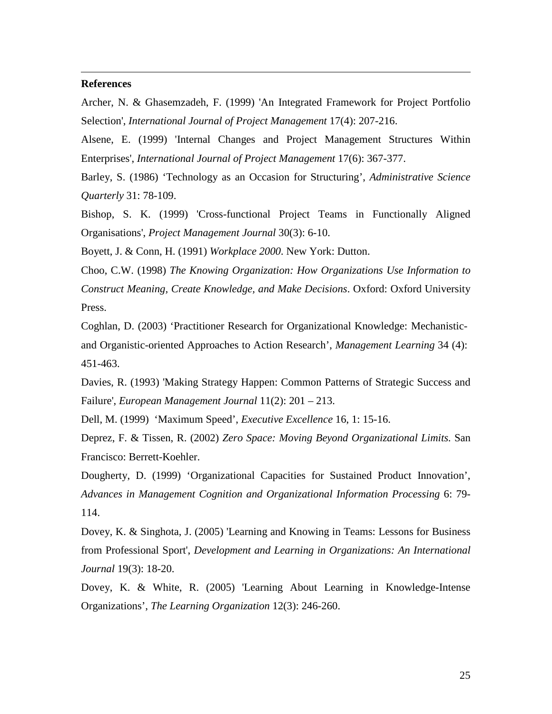### **References**

 $\overline{a}$ 

Archer, N. & Ghasemzadeh, F. (1999) 'An Integrated Framework for Project Portfolio Selection', *International Journal of Project Management* 17(4): 207-216.

Alsene, E. (1999) 'Internal Changes and Project Management Structures Within Enterprises', *International Journal of Project Management* 17(6): 367-377.

Barley, S. (1986) 'Technology as an Occasion for Structuring', *Administrative Science Quarterly* 31: 78-109.

Bishop, S. K. (1999) 'Cross-functional Project Teams in Functionally Aligned Organisations', *Project Management Journal* 30(3): 6-10.

Boyett, J. & Conn, H. (1991) *Workplace 2000*. New York: Dutton.

Choo, C.W. (1998) *The Knowing Organization: How Organizations Use Information to Construct Meaning, Create Knowledge, and Make Decisions*. Oxford: Oxford University Press.

Coghlan, D. (2003) 'Practitioner Research for Organizational Knowledge: Mechanisticand Organistic-oriented Approaches to Action Research', *Management Learning* 34 (4): 451-463.

Davies, R. (1993) 'Making Strategy Happen: Common Patterns of Strategic Success and Failure', *European Management Journal* 11(2): 201 – 213.

Dell, M. (1999) 'Maximum Speed', *Executive Excellence* 16, 1: 15-16.

Deprez, F. & Tissen, R. (2002) *Zero Space: Moving Beyond Organizational Limits.* San Francisco: Berrett-Koehler.

Dougherty, D. (1999) 'Organizational Capacities for Sustained Product Innovation', *Advances in Management Cognition and Organizational Information Processing* 6: 79- 114.

<span id="page-24-0"></span>Dovey, K. & Singhota, J. (2005) 'Learning and Knowing in Teams: Lessons for Business from Professional Sport', *Development and Learning in Organizations: An International Journal* 19(3): 18-20.

Dovey, K. & White, R. (2005) 'Learning About Learning in Knowledge-Intense Organizations', *The Learning Organization* 12(3): 246-260.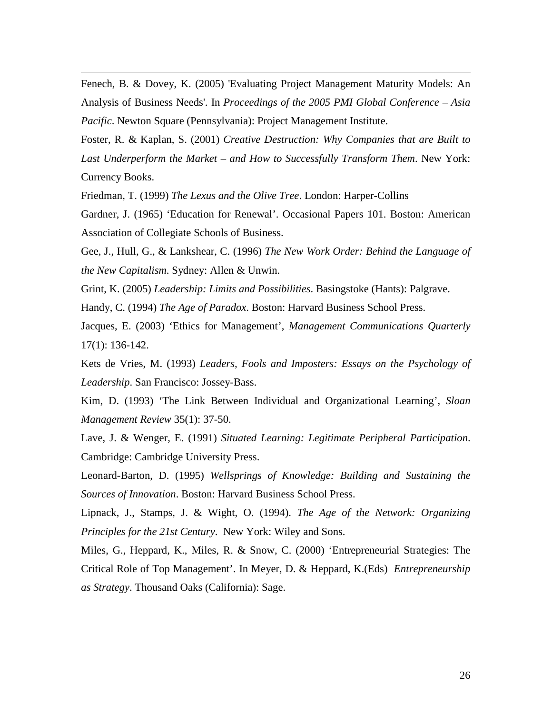Fenech, B. & Dovey, K. (2005) 'Evaluating Project Management Maturity Models: An Analysis of Business Needs'. In *Proceedings of the 2005 PMI Global Conference – Asia Pacific*. Newton Square (Pennsylvania): Project Management Institute.

Foster, R. & Kaplan, S. (2001) *Creative Destruction: Why Companies that are Built to Last Underperform the Market – and How to Successfully Transform Them*. New York: Currency Books.

Friedman, T. (1999) *The Lexus and the Olive Tree*. London: Harper-Collins

 $\overline{a}$ 

Gardner, J. (1965) 'Education for Renewal'. Occasional Papers 101. Boston: American Association of Collegiate Schools of Business.

Gee, J., Hull, G., & Lankshear, C. (1996) *The New Work Order: Behind the Language of the New Capitalism*. Sydney: Allen & Unwin.

Grint, K. (2005) *Leadership: Limits and Possibilities*. Basingstoke (Hants): Palgrave.

Handy, C. (1994) *The Age of Paradox*. Boston: Harvard Business School Press.

Jacques, E. (2003) 'Ethics for Management', *Management Communications Quarterly* 17(1): 136-142.

Kets de Vries, M. (1993) *Leaders, Fools and Imposters: Essays on the Psychology of Leadership*. San Francisco: Jossey-Bass.

Kim, D. (1993) 'The Link Between Individual and Organizational Learning', *Sloan Management Review* 35(1): 37-50.

Lave, J. & Wenger, E. (1991) *Situated Learning: Legitimate Peripheral Participation*. Cambridge: Cambridge University Press.

Leonard-Barton, D. (1995) *Wellsprings of Knowledge: Building and Sustaining the Sources of Innovation*. Boston: Harvard Business School Press.

Lipnack, J., Stamps, J. & Wight, O. (1994). *The Age of the Network: Organizing Principles for the 21st Century*. New York: Wiley and Sons.

Miles, G., Heppard, K., Miles, R. & Snow, C. (2000) 'Entrepreneurial Strategies: The Critical Role of Top Management'. In Meyer, D. & Heppard, K.(Eds) *Entrepreneurship as Strategy*. Thousand Oaks (California): Sage.